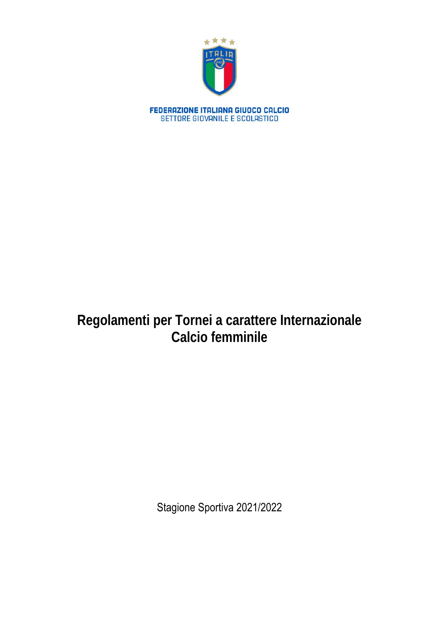

# **Regolamenti per Tornei a carattere Internazionale Calcio femminile**

Stagione Sportiva 2021/2022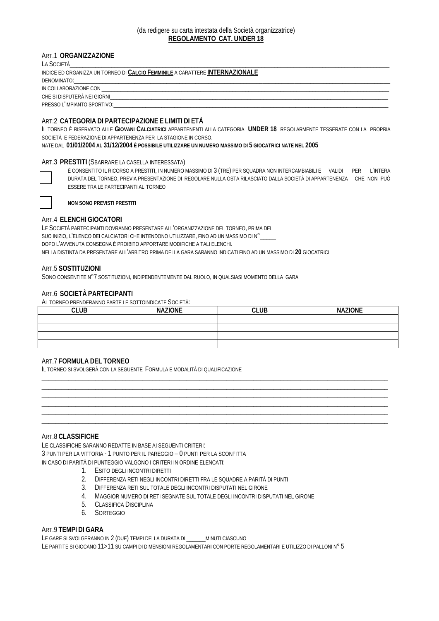## (da redigere su carta intestata della Società organizzatrice) **REGOLAMENTO CAT. UNDER 18**

## ART.1 **ORGANIZZAZIONE**

| LA SOCIETÀ                                                                                                     |
|----------------------------------------------------------------------------------------------------------------|
| INDICE ED ORGANIZZA UN TORNEO DI CALCIO FEMMINILE A CARATTERE INTERNAZIONALE                                   |
|                                                                                                                |
| IN COLLABORAZIONE CON EXAMPLE TO A CONTROL AND THE SERVICE OF THE SERVICE OF THE SERVICE OF THE SERVICE OF THE |
| CHE SI DISPUTERÀ NEI GIORNI                                                                                    |
|                                                                                                                |
|                                                                                                                |

## ART:2 **CATEGORIA DI PARTECIPAZIONE E LIMITI DI ETÀ**

IL TORNEO È RISERVATO ALLE **GIOVANI CALCIATRICI** APPARTENENTI ALLA CATEGORIA **UNDER 18** REGOLARMENTE TESSERATE CON LA PROPRIA SOCIETÀ E FEDERAZIONE DI APPARTENENZA PER LA STAGIONE IN CORSO.

NATE DAL **01/01/2004 AL 31/12/2004 È POSSIBILE UTILIZZARE UN NUMERO MASSIMO DI 5 GIOCATRICI NATE NEL 2005**

## ART.3 **PRESTITI** (SBARRARE LA CASELLA INTERESSATA)

È CONSENTITO IL RICORSO A PRESTITI, IN NUMERO MASSIMO DI 3 (TRE) PER SQUADRA NON INTERCAMBIABILI E VALIDI PER L'INTERA DURATA DEL TORNEO, PREVIA PRESENTAZIONE DI REGOLARE NULLA OSTA RILASCIATO DALLA SOCIETÀ DI APPARTENENZA CHE NON PUÒ ESSERE TRA LE PARTECIPANTI AL TORNEO



**NON SONO PREVISTI PRESTITI**

## ART.4 **ELENCHI GIOCATORI**

LE SOCIETÀ PARTECIPANTI DOVRANNO PRESENTARE ALL'ORGANIZZAZIONE DEL TORNEO, PRIMA DEL SUO INIZIO, L'ELENCO DEI CALCIATORI CHE INTENDONO UTILIZZARE, FINO AD UN MASSIMO DI N° DOPO L'AVVENUTA CONSEGNA È PROIBITO APPORTARE MODIFICHE A TALI ELENCHI. NELLA DISTINTA DA PRESENTARE ALL'ARBITRO PRIMA DELLA GARA SARANNO INDICATI FINO AD UN MASSIMO DI **20** GIOCATRICI

## ART.5 **SOSTITUZIONI**

SONO CONSENTITE N°7 SOSTITUZIONI, INDIPENDENTEMENTE DAL RUOLO, IN QUALSIASI MOMENTO DELLA GARA

## ART.6 **SOCIETÀ PARTECIPANTI**

AL TORNEO PRENDERANNO PARTE LE SOTTOINDICATE SOCIETÀ:

| <b>CLUB</b> | <b>NAZIONE</b> | <b>CLUB</b> | <b>NAZIONE</b> |
|-------------|----------------|-------------|----------------|
|             |                |             |                |
|             |                |             |                |
|             |                |             |                |
|             |                |             |                |

\_\_\_\_\_\_\_\_\_\_\_\_\_\_\_\_\_\_\_\_\_\_\_\_\_\_\_\_\_\_\_\_\_\_\_\_\_\_\_\_\_\_\_\_\_\_\_\_\_\_\_\_\_\_\_\_\_\_\_\_\_\_\_\_\_\_\_\_\_\_\_\_\_\_\_\_\_\_\_\_\_\_\_\_\_\_\_\_\_\_\_\_\_\_\_\_\_\_\_\_\_\_\_ \_\_\_\_\_\_\_\_\_\_\_\_\_\_\_\_\_\_\_\_\_\_\_\_\_\_\_\_\_\_\_\_\_\_\_\_\_\_\_\_\_\_\_\_\_\_\_\_\_\_\_\_\_\_\_\_\_\_\_\_\_\_\_\_\_\_\_\_\_\_\_\_\_\_\_\_\_\_\_\_\_\_\_\_\_\_\_\_\_\_\_\_\_\_\_\_\_\_\_\_\_\_\_ \_\_\_\_\_\_\_\_\_\_\_\_\_\_\_\_\_\_\_\_\_\_\_\_\_\_\_\_\_\_\_\_\_\_\_\_\_\_\_\_\_\_\_\_\_\_\_\_\_\_\_\_\_\_\_\_\_\_\_\_\_\_\_\_\_\_\_\_\_\_\_\_\_\_\_\_\_\_\_\_\_\_\_\_\_\_\_\_\_\_\_\_\_\_\_\_\_\_\_\_\_\_\_ \_\_\_\_\_\_\_\_\_\_\_\_\_\_\_\_\_\_\_\_\_\_\_\_\_\_\_\_\_\_\_\_\_\_\_\_\_\_\_\_\_\_\_\_\_\_\_\_\_\_\_\_\_\_\_\_\_\_\_\_\_\_\_\_\_\_\_\_\_\_\_\_\_\_\_\_\_\_\_\_\_\_\_\_\_\_\_\_\_\_\_\_\_\_\_\_\_\_\_\_\_\_\_ \_\_\_\_\_\_\_\_\_\_\_\_\_\_\_\_\_\_\_\_\_\_\_\_\_\_\_\_\_\_\_\_\_\_\_\_\_\_\_\_\_\_\_\_\_\_\_\_\_\_\_\_\_\_\_\_\_\_\_\_\_\_\_\_\_\_\_\_\_\_\_\_\_\_\_\_\_\_\_\_\_\_\_\_\_\_\_\_\_\_\_\_\_\_\_\_\_\_\_\_\_\_\_ \_\_\_\_\_\_\_\_\_\_\_\_\_\_\_\_\_\_\_\_\_\_\_\_\_\_\_\_\_\_\_\_\_\_\_\_\_\_\_\_\_\_\_\_\_\_\_\_\_\_\_\_\_\_\_\_\_\_\_\_\_\_\_\_\_\_\_\_\_\_\_\_\_\_\_\_\_\_\_\_\_\_\_\_\_\_\_\_\_\_\_\_\_\_\_\_\_\_\_\_\_\_\_

## ART.7 **FORMULA DEL TORNEO**

IL TORNEO SI SVOLGERÀ CON LA SEGUENTE FORMULA E MODALITÀ DI QUALIFICAZIONE

## ART.8 **CLASSIFICHE**

LE CLASSIFICHE SARANNO REDATTE IN BASE AI SEGUENTI CRITERI: 3 PUNTI PER LA VITTORIA - 1 PUNTO PER IL PAREGGIO – 0 PUNTI PER LA SCONFITTA IN CASO DI PARITÀ DI PUNTEGGIO VALGONO I CRITERI IN ORDINE ELENCATI:

- 1. ESITO DEGLI INCONTRI DIRETTI
- 2. DIFFERENZA RETI NEGLI INCONTRI DIRETTI FRA LE SQUADRE A PARITÀ DI PUNTI
- 3. DIFFERENZA RETI SUL TOTALE DEGLI INCONTRI DISPUTATI NEL GIRONE
- 4. MAGGIOR NUMERO DI RETI SEGNATE SUL TOTALE DEGLI INCONTRI DISPUTATI NEL GIRONE
- 5. CLASSIFICA DISCIPLINA
- 6. SORTEGGIO

## ART.9 **TEMPI DI GARA**

LE GARE SI SVOLGERANNO IN 2 (DUE) TEMPI DELLA DURATA DI \_\_\_\_\_\_MINUTI CIASCUNO LE PARTITE SI GIOCANO 11>11 SU CAMPI DI DIMENSIONI REGOLAMENTARI CON PORTE REGOLAMENTARI E UTILIZZO DI PALLONI N° 5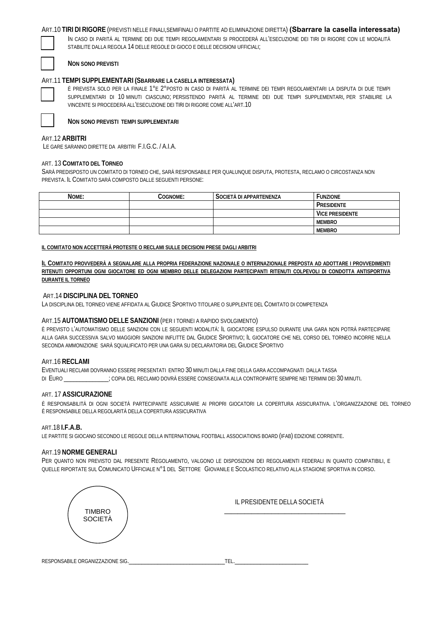## ART.10 **TIRI DI RIGORE** (PREVISTI NELLE FINALI,SEMIFINALI O PARTITE AD ELIMINAZIONE DIRETTA) **(Sbarrare la casella interessata)**

IN CASO DI PARITÀ AL TERMINE DEI DUE TEMPI REGOLAMENTARI SI PROCEDERÀ ALL'ESECUZIONE DEI TIRI DI RIGORE CON LE MODALITÀ STABILITE DALLA REGOLA 14 DELLE REGOLE DI GIOCO E DELLE DECISIONI UFFICIALI;

#### **NON SONO PREVISTI**

#### ART.11 **TEMPI SUPPLEMENTARI (SBARRARE LA CASELLA INTERESSATA)**

È PREVISTA SOLO PER LA FINALE 1°E 2°POSTO IN CASO DI PARITÀ AL TERMINE DEI TEMPI REGOLAMENTARI LA DISPUTA DI DUE TEMPI SUPPLEMENTARI DI 10 MINUTI CIASCUNO; PERSISTENDO PARITÀ AL TERMINE DEI DUE TEMPI SUPPLEMENTARI, PER STABILIRE LA VINCENTE SI PROCEDERÀ ALL'ESECUZIONE DEI TIRI DI RIGORE COME ALL'ART.10

**NON SONO PREVISTI TEMPI SUPPLEMENTARI**

## ART.12 **ARBITRI**

LE GARE SARANNO DIRETTE DA ARBITRI F.I.G.C. / A.I.A.

#### ART. 13 **COMITATO DEL TORNEO**

SARÀ PREDISPOSTO UN COMITATO DI TORNEO CHE, SARÀ RESPONSABILE PER QUALUNQUE DISPUTA, PROTESTA, RECLAMO O CIRCOSTANZA NON PREVISTA. IL COMITATO SARÀ COMPOSTO DALLE SEGUENTI PERSONE:

| NOME: | COGNOME: | SOCIETÀ DI APPARTENENZA | Funzione               |
|-------|----------|-------------------------|------------------------|
|       |          |                         | PRESIDENTE             |
|       |          |                         | <b>VICE PRESIDENTE</b> |
|       |          |                         | <b>MEMBRO</b>          |
|       |          |                         | <b>MEMBRO</b>          |
|       |          |                         |                        |

#### **IL COMITATO NON ACCETTERÀ PROTESTE O RECLAMI SULLE DECISIONI PRESE DAGLI ARBITRI**

**IL COMITATO PROVVEDERÀ A SEGNALARE ALLA PROPRIA FEDERAZIONE NAZIONALE O INTERNAZIONALE PREPOSTA AD ADOTTARE I PROVVEDIMENTI RITENUTI OPPORTUNI OGNI GIOCATORE ED OGNI MEMBRO DELLE DELEGAZIONI PARTECIPANTI RITENUTI COLPEVOLI DI CONDOTTA ANTISPORTIVA DURANTE IL TORNEO** 

#### ART.14 **DISCIPLINA DEL TORNEO**

LA DISCIPLINA DEL TORNEO VIENE AFFIDATA AL GIUDICE SPORTIVO TITOLARE O SUPPLENTE DEL COMITATO DI COMPETENZA

#### ART.15 **AUTOMATISMO DELLE SANZIONI** (PER I TORNEI A RAPIDO SVOLGIMENTO)

È PREVISTO L'AUTOMATISMO DELLE SANZIONI CON LE SEGUENTI MODALITÀ: IL GIOCATORE ESPULSO DURANTE UNA GARA NON POTRÀ PARTECIPARE ALLA GARA SUCCESSIVA SALVO MAGGIORI SANZIONI INFLITTE DAL GIUDICE SPORTIVO; IL GIOCATORE CHE NEL CORSO DEL TORNEO INCORRE NELLA SECONDA AMMONIZIONE SARÀ SQUALIFICATO PER UNA GARA SU DECLARATORIA DEL GIUDICE SPORTIVO

#### ART.16 **RECLAMI**

EVENTUALI RECLAMI DOVRANNO ESSERE PRESENTATI ENTRO 30 MINUTI DALLA FINE DELLA GARA ACCOMPAGNATI DALLA TASSA DI EURO \_\_\_\_\_\_\_\_\_\_\_\_\_\_; COPIA DEL RECLAMO DOVRÀ ESSERE CONSEGNATA ALLA CONTROPARTE SEMPRE NEI TERMINI DEI 30 MINUTI.

#### ART. 17 **ASSICURAZIONE**

È RESPONSABILITÀ DI OGNI SOCIETÀ PARTECIPANTE ASSICURARE AI PROPRI GIOCATORI LA COPERTURA ASSICURATIVA. L'ORGANIZZAZIONE DEL TORNEO È RESPONSABILE DELLA REGOLARITÀ DELLA COPERTURA ASSICURATIVA

#### ART.18 **I.F.A.B.**

LE PARTITE SI GIOCANO SECONDO LE REGOLE DELLA INTERNATIONAL FOOTBALL ASSOCIATIONS BOARD (IFAB) EDIZIONE CORRENTE.

#### ART.19 **NORME GENERALI**

PER QUANTO NON PREVISTO DAL PRESENTE REGOLAMENTO, VALGONO LE DISPOSIZIONI DEI REGOLAMENTI FEDERALI IN QUANTO COMPATIBILI, E QUELLE RIPORTATE SUL COMUNICATO UFFICIALE N°1 DEL SETTORE GIOVANILE E SCOLASTICO RELATIVO ALLA STAGIONE SPORTIVA IN CORSO.

| <b>TIMBRO</b> | IL PRESIDENTE DELLA SOCIETÀ |
|---------------|-----------------------------|
| SOCIETÀ       |                             |
|               |                             |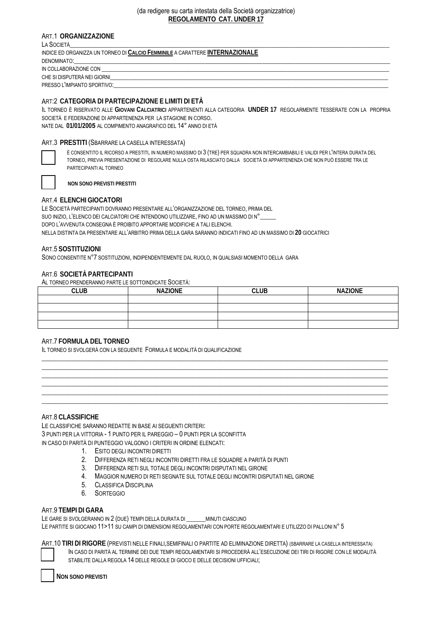#### (da redigere su carta intestata della Società organizzatrice) **REGOLAMENTO CAT. UNDER 17**

## ART.1 **ORGANIZZAZIONE**

| LA SOCIETÀ                                                                                                                                |  |  |  |  |
|-------------------------------------------------------------------------------------------------------------------------------------------|--|--|--|--|
| INDICE ED ORGANIZZA UN TORNEO DI CALCIO FEMMINILE A CARATTERE INTERNAZIONALE                                                              |  |  |  |  |
| DENOMINATO:<br><u> 1980 - Jan James James Sandarík (f. 1980)</u>                                                                          |  |  |  |  |
| IN COLLABORAZIONE CON<br><u> 1989 - Jan James James James James James James James James James James James James James James James Jam</u> |  |  |  |  |
| CHE SI DISPUTERÀ NEI GIORNI                                                                                                               |  |  |  |  |
| PRESSO L'IMPIANTO SPORTIVO:                                                                                                               |  |  |  |  |

## ART:2 **CATEGORIA DI PARTECIPAZIONE E LIMITI DI ETÀ**

IL TORNEO È RISERVATO ALLE **GIOVANI CALCIATRICI** APPARTENENTI ALLA CATEGORIA **UNDER 17** REGOLARMENTE TESSERATE CON LA PROPRIA SOCIETÀ E FEDERAZIONE DI APPARTENENZA PER LA STAGIONE IN CORSO. NATE DAL **01/01/2005** AL COMPIMENTO ANAGRAFICO DEL 14° ANNO DI ETÀ

#### ART.3 **PRESTITI** (SBARRARE LA CASELLA INTERESSATA)



È CONSENTITO IL RICORSO A PRESTITI, IN NUMERO MASSIMO DI 3 (TRE) PER SQUADRA NON INTERCAMBIABILI E VALIDI PER L'INTERA DURATA DEL TORNEO, PREVIA PRESENTAZIONE DI REGOLARE NULLA OSTA RILASCIATO DALLA SOCIETÀ DI APPARTENENZA CHE NON PUÒ ESSERE TRA LE PARTECIPANTI AL TORNEO

**NON SONO PREVISTI PRESTITI**

#### ART.4 **ELENCHI GIOCATORI**

LE SOCIETÀ PARTECIPANTI DOVRANNO PRESENTARE ALL'ORGANIZZAZIONE DEL TORNEO, PRIMA DEL SUO INIZIO, L'ELENCO DEI CALCIATORI CHE INTENDONO UTILIZZARE, FINO AD UN MASSIMO DI N°\_\_\_\_\_ DOPO L'AVVENUTA CONSEGNA È PROIBITO APPORTARE MODIFICHE A TALI ELENCHI. NELLA DISTINTA DA PRESENTARE ALL'ARBITRO PRIMA DELLA GARA SARANNO INDICATI FINO AD UN MASSIMO DI **20** GIOCATRICI

#### ART.5 **SOSTITUZIONI**

SONO CONSENTITE N°7 SOSTITUZIONI, INDIPENDENTEMENTE DAL RUOLO, IN QUALSIASI MOMENTO DELLA GARA

#### ART.6 **SOCIETÀ PARTECIPANTI**

AL TORNEO PRENDERANNO PARTE LE SOTTOINDICATE SOCIETÀ:

| <b>CLUB</b> | <b>NAZIONE</b> | <b>CLUB</b> | <b>NAZIONE</b> |
|-------------|----------------|-------------|----------------|
|             |                |             |                |
|             |                |             |                |
|             |                |             |                |
|             |                |             |                |
|             |                |             |                |

 $\_$  , and the set of the set of the set of the set of the set of the set of the set of the set of the set of the set of the set of the set of the set of the set of the set of the set of the set of the set of the set of th \_\_\_\_\_\_\_\_\_\_\_\_\_\_\_\_\_\_\_\_\_\_\_\_\_\_\_\_\_\_\_\_\_\_\_\_\_\_\_\_\_\_\_\_\_\_\_\_\_\_\_\_\_\_\_\_\_\_\_\_\_\_\_\_\_\_\_\_\_\_\_\_\_\_\_\_\_\_\_\_\_\_\_\_\_\_\_\_\_\_\_\_\_\_\_\_\_\_\_\_\_\_\_  $\_$  , and the set of the set of the set of the set of the set of the set of the set of the set of the set of the set of the set of the set of the set of the set of the set of the set of the set of the set of the set of th \_\_\_\_\_\_\_\_\_\_\_\_\_\_\_\_\_\_\_\_\_\_\_\_\_\_\_\_\_\_\_\_\_\_\_\_\_\_\_\_\_\_\_\_\_\_\_\_\_\_\_\_\_\_\_\_\_\_\_\_\_\_\_\_\_\_\_\_\_\_\_\_\_\_\_\_\_\_\_\_\_\_\_\_\_\_\_\_\_\_\_\_\_\_\_\_\_\_\_\_\_\_\_ \_\_\_\_\_\_\_\_\_\_\_\_\_\_\_\_\_\_\_\_\_\_\_\_\_\_\_\_\_\_\_\_\_\_\_\_\_\_\_\_\_\_\_\_\_\_\_\_\_\_\_\_\_\_\_\_\_\_\_\_\_\_\_\_\_\_\_\_\_\_\_\_\_\_\_\_\_\_\_\_\_\_\_\_\_\_\_\_\_\_\_\_\_\_\_\_\_\_\_\_\_\_\_  $\_$  , and the set of the set of the set of the set of the set of the set of the set of the set of the set of the set of the set of the set of the set of the set of the set of the set of the set of the set of the set of th

## ART.7 **FORMULA DEL TORNEO**

IL TORNEO SI SVOLGERÀ CON LA SEGUENTE FORMULA E MODALITÀ DI QUALIFICAZIONE

## ART.8 **CLASSIFICHE**

LE CLASSIFICHE SARANNO REDATTE IN BASE AI SEGUENTI CRITERI: 3 PUNTI PER LA VITTORIA - 1 PUNTO PER IL PAREGGIO – 0 PUNTI PER LA SCONFITTA IN CASO DI PARITÀ DI PUNTEGGIO VALGONO I CRITERI IN ORDINE ELENCATI:

- 1. ESITO DEGLI INCONTRI DIRETTI
- 2. DIFFERENZA RETI NEGLI INCONTRI DIRETTI FRA LE SQUADRE A PARITÀ DI PUNTI
- 3. DIFFERENZA RETI SUL TOTALE DEGLI INCONTRI DISPUTATI NEL GIRONE
- 4. MAGGIOR NUMERO DI RETI SEGNATE SUL TOTALE DEGLI INCONTRI DISPUTATI NEL GIRONE
- 5. CLASSIFICA DISCIPLINA
- 6. SORTEGGIO

#### ART.9 **TEMPI DI GARA**

LE GARE SI SVOLGERANNO IN 2 (DUE) TEMPI DELLA DURATA DI \_\_\_\_\_\_MINUTI CIASCUNO

LE PARTITE SI GIOCANO 11>11 SU CAMPI DI DIMENSIONI REGOLAMENTARI CON PORTE REGOLAMENTARI E UTILIZZO DI PALLONI N° 5

ART.10 **TIRI DI RIGORE** (PREVISTI NELLE FINALI,SEMIFINALI O PARTITE AD ELIMINAZIONE DIRETTA) (SBARRARE LA CASELLA INTERESSATA)

IN CASO DI PARITÀ AL TERMINE DEI DUE TEMPI REGOLAMENTARI SI PROCEDERÀ ALL'ESECUZIONE DEI TIRI DI RIGORE CON LE MODALITÀ STABILITE DALLA REGOLA 14 DELLE REGOLE DI GIOCO E DELLE DECISIONI UFFICIALI;

**NON SONO PREVISTI**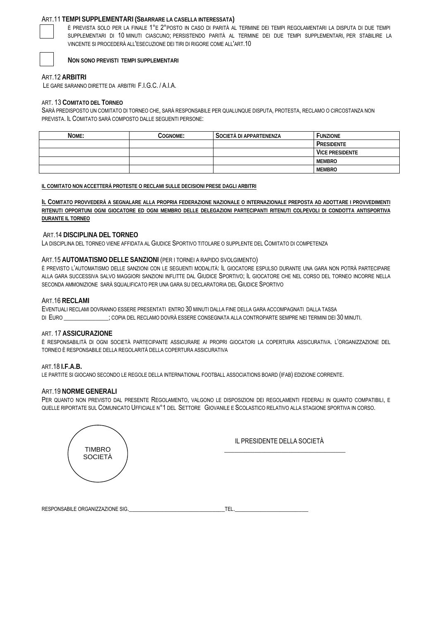#### ART.11 **TEMPI SUPPLEMENTARI (SBARRARE LA CASELLA INTERESSATA)**



È PREVISTA SOLO PER LA FINALE 1°E 2°POSTO IN CASO DI PARITÀ AL TERMINE DEI TEMPI REGOLAMENTARI LA DISPUTA DI DUE TEMPI SUPPLEMENTARI DI 10 MINUTI CIASCUNO; PERSISTENDO PARITÀ AL TERMINE DEI DUE TEMPI SUPPLEMENTARI, PER STABILIRE LA VINCENTE SI PROCEDERÀ ALL'ESECUZIONE DEI TIRI DI RIGORE COME ALL'ART.10



#### **NON SONO PREVISTI TEMPI SUPPLEMENTARI**

ART.12 **ARBITRI**

LE GARE SARANNO DIRETTE DA ARBITRI F.I.G.C. / A.I.A.

#### ART. 13 **COMITATO DEL TORNEO**

SARÀ PREDISPOSTO UN COMITATO DI TORNEO CHE, SARÀ RESPONSABILE PER QUALUNQUE DISPUTA, PROTESTA, RECLAMO O CIRCOSTANZA NON PREVISTA. IL COMITATO SARÀ COMPOSTO DALLE SEGUENTI PERSONE:

| NOME: | Cognome: | SOCIETÀ DI APPARTENENZA | <sup>F</sup> UNZIONE   |
|-------|----------|-------------------------|------------------------|
|       |          |                         | PRESIDENTE             |
|       |          |                         | <b>VICE PRESIDENTE</b> |
|       |          |                         | <b>MEMBRO</b>          |
|       |          |                         | <b>MEMBRO</b>          |

#### **IL COMITATO NON ACCETTERÀ PROTESTE O RECLAMI SULLE DECISIONI PRESE DAGLI ARBITRI**

**IL COMITATO PROVVEDERÀ A SEGNALARE ALLA PROPRIA FEDERAZIONE NAZIONALE O INTERNAZIONALE PREPOSTA AD ADOTTARE I PROVVEDIMENTI RITENUTI OPPORTUNI OGNI GIOCATORE ED OGNI MEMBRO DELLE DELEGAZIONI PARTECIPANTI RITENUTI COLPEVOLI DI CONDOTTA ANTISPORTIVA DURANTE IL TORNEO** 

#### ART.14 **DISCIPLINA DEL TORNEO**

LA DISCIPLINA DEL TORNEO VIENE AFFIDATA AL GIUDICE SPORTIVO TITOLARE O SUPPLENTE DEL COMITATO DI COMPETENZA

#### ART.15 **AUTOMATISMO DELLE SANZIONI** (PER I TORNEI A RAPIDO SVOLGIMENTO)

È PREVISTO L'AUTOMATISMO DELLE SANZIONI CON LE SEGUENTI MODALITÀ: IL GIOCATORE ESPULSO DURANTE UNA GARA NON POTRÀ PARTECIPARE ALLA GARA SUCCESSIVA SALVO MAGGIORI SANZIONI INFLITTE DAL GIUDICE SPORTIVO; IL GIOCATORE CHE NEL CORSO DEL TORNEO INCORRE NELLA SECONDA AMMONIZIONE SARÀ SQUALIFICATO PER UNA GARA SU DECLARATORIA DEL GIUDICE SPORTIVO

#### ART.16 **RECLAMI**

EVENTUALI RECLAMI DOVRANNO ESSERE PRESENTATI ENTRO 30 MINUTI DALLA FINE DELLA GARA ACCOMPAGNATI DALLA TASSA DI EURO \_\_\_\_\_\_\_\_\_\_\_\_; COPIA DEL RECLAMO DOVRÀ ESSERE CONSEGNATA ALLA CONTROPARTE SEMPRE NEI TERMINI DEI 30 MINUTI.

#### ART. 17 **ASSICURAZIONE**

È RESPONSABILITÀ DI OGNI SOCIETÀ PARTECIPANTE ASSICURARE AI PROPRI GIOCATORI LA COPERTURA ASSICURATIVA. L'ORGANIZZAZIONE DEL TORNEO È RESPONSABILE DELLA REGOLARITÀ DELLA COPERTURA ASSICURATIVA

#### ART.18 **I.F.A.B.**

LE PARTITE SI GIOCANO SECONDO LE REGOLE DELLA INTERNATIONAL FOOTBALL ASSOCIATIONS BOARD (IFAB) EDIZIONE CORRENTE.

#### ART.19 **NORME GENERALI**

PER QUANTO NON PREVISTO DAL PRESENTE REGOLAMENTO, VALGONO LE DISPOSIZIONI DEI REGOLAMENTI FEDERALI IN QUANTO COMPATIBILI, E QUELLE RIPORTATE SUL COMUNICATO UFFICIALE N°1 DEL SETTORE GIOVANILE E SCOLASTICO RELATIVO ALLA STAGIONE SPORTIVA IN CORSO.



 IL PRESIDENTE DELLA SOCIETÀ \_\_\_\_\_\_\_\_\_\_\_\_\_\_\_\_\_\_\_\_\_\_\_\_\_\_\_\_\_\_\_\_\_\_\_\_

| <b>RESPO</b><br>7ZAZIONE SIG.<br>PONSARII<br>$T$ $\cap$ $D$ $\cap$ $\ldots$<br>GANIZ<br>OADIL<br>$\sqrt{ }$ |  |
|-------------------------------------------------------------------------------------------------------------|--|
|                                                                                                             |  |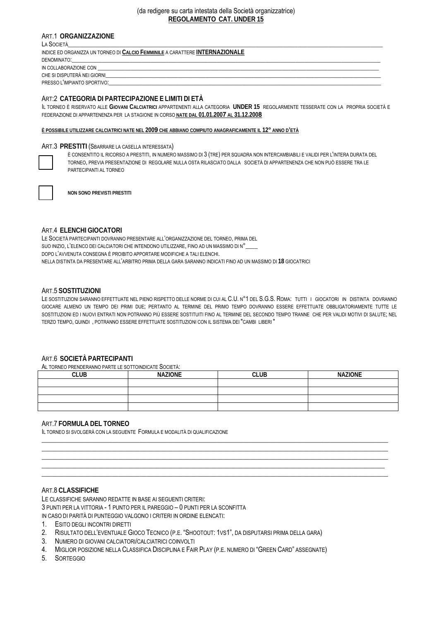#### (da redigere su carta intestata della Società organizzatrice) **REGOLAMENTO CAT. UNDER 15**

## ART.1 **ORGANIZZAZIONE**

LA SOCIETÀ\_\_\_\_\_\_\_\_\_\_\_\_\_\_\_\_\_\_\_\_\_\_\_\_\_\_\_\_\_\_\_\_\_\_\_\_\_\_\_\_\_\_\_\_\_\_\_\_\_\_\_\_\_\_\_\_\_\_\_\_\_\_\_\_\_\_\_\_\_\_\_\_\_\_\_\_\_\_\_\_\_\_\_\_\_\_\_\_\_\_\_\_\_\_\_\_\_\_\_\_\_\_\_\_ INDICE ED ORGANIZZA UN TORNEO DI **CALCIO FEMMINILE** A CARATTERE **INTERNAZIONALE** DENOMINATO:\_\_\_\_\_\_\_\_\_\_\_\_\_\_\_\_\_\_\_\_\_\_\_\_\_\_\_\_\_\_\_\_\_\_\_\_\_\_\_\_\_\_\_\_\_\_\_\_\_\_\_\_\_\_\_\_\_\_\_\_\_\_\_\_\_\_\_\_\_\_\_\_\_\_\_\_\_\_\_\_\_\_\_\_\_\_\_\_\_\_\_\_\_\_\_\_\_\_\_\_\_\_ IN COLLABORAZIONE CON CHE SI DISPUTERÀ NEI GIORNI PRESSO L'IMPIANTO SPORTIVO:

## ART:2 **CATEGORIA DI PARTECIPAZIONE E LIMITI DI ETÀ**

IL TORNEO È RISERVATO ALLE **GIOVANI CALCIATRICI** APPARTENENTI ALLA CATEGORIA **UNDER 15** REGOLARMENTE TESSERATE CON LA PROPRIA SOCIETÀ E FEDERAZIONE DI APPARTENENZA PER LA STAGIONE IN CORSO **NATE DAL 01.01.2007 AL 31.12.2008**

**È POSSIBILE UTILIZZARE CALCIATRICI NATE NEL 2009 CHE ABBIANO COMPIUTO ANAGRAFICAMENTE IL 12° ANNO D'ETÀ**

#### ART.3 **PRESTITI** (SBARRARE LA CASELLA INTERESSATA)

È CONSENTITO IL RICORSO A PRESTITI, IN NUMERO MASSIMO DI 3 (TRE) PER SQUADRA NON INTERCAMBIABILI E VALIDI PER L'INTERA DURATA DEL TORNEO, PREVIA PRESENTAZIONE DI REGOLARE NULLA OSTA RILASCIATO DALLA SOCIETÀ DI APPARTENENZA CHE NON PUÒ ESSERE TRA LE PARTECIPANTI AL TORNEO

**NON SONO PREVISTI PRESTITI**

## ART.4 **ELENCHI GIOCATORI**

LE SOCIETÀ PARTECIPANTI DOVRANNO PRESENTARE ALL'ORGANIZZAZIONE DEL TORNEO, PRIMA DEL SUO INIZIO, L'ELENCO DEI CALCIATORI CHE INTENDONO UTILIZZARE, FINO AD UN MASSIMO DI N°\_\_\_\_ DOPO L'AVVENUTA CONSEGNA È PROIBITO APPORTARE MODIFICHE A TALI ELENCHI. NELLA DISTINTA DA PRESENTARE ALL'ARBITRO PRIMA DELLA GARA SARANNO INDICATI FINO AD UN MASSIMO DI **18** GIOCATRICI

#### ART.5 **SOSTITUZIONI**

LE SOSTITUZIONI SARANNO EFFETTUATE NEL PIENO RISPETTO DELLE NORME DI CUI AL C.U. N°1 DEL S.G.S. ROMA: TUTTI I GIOCATORI IN DISTINTA DOVRANNO GIOCARE ALMENO UN TEMPO DEI PRIMI DUE; PERTANTO AL TERMINE DEL PRIMO TEMPO DOVRANNO ESSERE EFFETTUATE OBBLIGATORIAMENTE TUTTE LE SOSTITUZIONI ED I NUOVI ENTRATI NON POTRANNO PIÙ ESSERE SOSTITUITI FINO AL TERMINE DEL SECONDO TEMPO TRANNE CHE PER VALIDI MOTIVI DI SALUTE; NEL TERZO TEMPO, QUINDI , POTRANNO ESSERE EFFETTUATE SOSTITUZIONI CON IL SISTEMA DEI "CAMBI LIBERI "

## ART.6 **SOCIETÀ PARTECIPANTI**

AL TORNEO PRENDERANNO PARTE LE SOTTOINDICATE SOCIETÀ:

| <b>CLUB</b> | <b>NAZIONE</b> | <b>CLUB</b> | <b>NAZIONE</b> |
|-------------|----------------|-------------|----------------|
|             |                |             |                |
|             |                |             |                |
|             |                |             |                |
|             |                |             |                |

 $\_$  , and the set of the set of the set of the set of the set of the set of the set of the set of the set of the set of the set of the set of the set of the set of the set of the set of the set of the set of the set of th  $\_$  , and the set of the set of the set of the set of the set of the set of the set of the set of the set of the set of the set of the set of the set of the set of the set of the set of the set of the set of the set of th  $\_$  , and the set of the set of the set of the set of the set of the set of the set of the set of the set of the set of the set of the set of the set of the set of the set of the set of the set of the set of the set of th  $\_$  , and the set of the set of the set of the set of the set of the set of the set of the set of the set of the set of the set of the set of the set of the set of the set of the set of the set of the set of the set of th  $\_$  , and the set of the set of the set of the set of the set of the set of the set of the set of the set of the set of the set of the set of the set of the set of the set of the set of the set of the set of the set of th

#### ART.7 **FORMULA DEL TORNEO**

IL TORNEO SI SVOLGERÀ CON LA SEGUENTE FORMULA E MODALITÀ DI QUALIFICAZIONE

#### ART.8 **CLASSIFICHE**

LE CLASSIFICHE SARANNO REDATTE IN BASE AI SEGUENTI CRITERI: 3 PUNTI PER LA VITTORIA - 1 PUNTO PER IL PAREGGIO – 0 PUNTI PER LA SCONFITTA IN CASO DI PARITÀ DI PUNTEGGIO VALGONO I CRITERI IN ORDINE ELENCATI:

1. ESITO DEGLI INCONTRI DIRETTI

- 2. RISULTATO DELL'EVENTUALE GIOCO TECNICO (P.E. "SHOOTOUT: 1VS1", DA DISPUTARSI PRIMA DELLA GARA)
- 3. NUMERO DI GIOVANI CALCIATORI/CALCIATRICI COINVOLTI
- 4. MIGLIOR POSIZIONE NELLA CLASSIFICA DISCIPLINA E FAIR PLAY (P.E. NUMERO DI "GREEN CARD" ASSEGNATE)
- 5. SORTEGGIO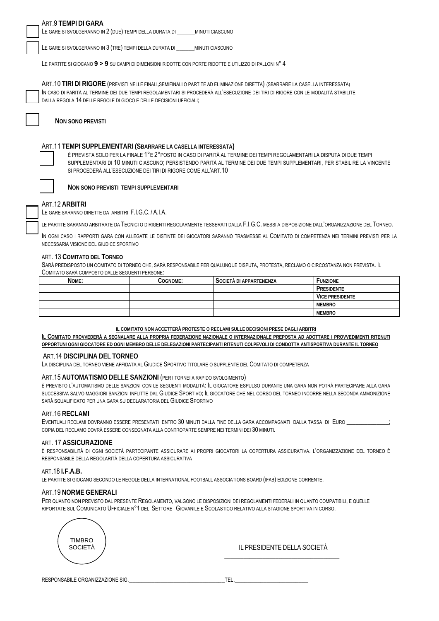| ART.9 TEMPI DI GARA<br>LE GARE SI SVOLGERANNO IN 2 (DUE) TEMPI DELLA DURATA DI _______ MINUTI CIASCUNO                                                                                                                                                                                                                                                                                 |  |  |
|----------------------------------------------------------------------------------------------------------------------------------------------------------------------------------------------------------------------------------------------------------------------------------------------------------------------------------------------------------------------------------------|--|--|
| LE GARE SI SVOLGERANNO IN 3 (TRE) TEMPI DELLA DURATA DI MINUTI CIASCUNO                                                                                                                                                                                                                                                                                                                |  |  |
| LE PARTITE SI GIOCANO 9 > 9 SU CAMPI DI DIMENSIONI RIDOTTE CON PORTE RIDOTTE E UTILIZZO DI PALLONI N° 4                                                                                                                                                                                                                                                                                |  |  |
| ART. 10 TIRI DI RIGORE (PREVISTI NELLE FINALI, SEMIFINALI O PARTITE AD ELIMINAZIONE DIRETTA) (SBARRARE LA CASELLA INTERESSATA)                                                                                                                                                                                                                                                         |  |  |
| IN CASO DI PARITÀ AL TERMINE DEI DUE TEMPI REGOLAMENTARI SI PROCEDERÀ ALL'ESECUZIONE DEI TIRI DI RIGORE CON LE MODALITÀ STABILITE<br>DALLA REGOLA 14 DELLE REGOLE DI GIOCO E DELLE DECISIONI UFFICIALI;                                                                                                                                                                                |  |  |
|                                                                                                                                                                                                                                                                                                                                                                                        |  |  |
| <b>NON SONO PREVISTI</b>                                                                                                                                                                                                                                                                                                                                                               |  |  |
| ART.11 TEMPI SUPPLEMENTARI (SBARRARE LA CASELLA INTERESSATA)<br>È PREVISTA SOLO PER LA FINALE 1°E 2° POSTO IN CASO DI PARITÀ AL TERMINE DEI TEMPI REGOLAMENTARI LA DISPUTA DI DUE TEMPI<br>SUPPLEMENTARI DI 10 MINUTI CIASCUNO; PERSISTENDO PARITÀ AL TERMINE DEI DUE TEMPI SUPPLEMENTARI, PER STABILIRE LA VINCENTE<br>SI PROCEDERÀ ALL'ESECUZIONE DEI TIRI DI RIGORE COME ALL'ART.10 |  |  |
| NON SONO PREVISTI TEMPI SUPPLEMENTARI                                                                                                                                                                                                                                                                                                                                                  |  |  |
| ART.12 ARBITRI<br>LE GARE SARANNO DIRETTE DA ARBITRI F.I.G.C. / A.I.A.                                                                                                                                                                                                                                                                                                                 |  |  |
| LE PARTITE SARANNO ARBITRATE DA TECNICI O DIRIGENTI REGOLARMENTE TESSERATI DALLA F.I.G.C. MESSI A DISPOSIZIONE DALL'ORGANIZZAZIONE DEL TORNEO.                                                                                                                                                                                                                                         |  |  |
| IN OGNI CASO I RAPPORTI GARA CON ALLEGATE LE DISTINTE DEI GIOCATORI SARANNO TRASMESSE AL COMITATO DI COMPETENZA NEI TERMINI PREVISTI PER LA<br>NECESSARIA VISIONE DEL GIUDICE SPORTIVO                                                                                                                                                                                                 |  |  |
| ART. 13 COMITATO DEL TORNEO<br>SARÀ PREDISPOSTO UN COMITATO DI TORNEO CHE, SARÀ RESPONSABILE PER QUALUNQUE DISPUTA, PROTESTA, RECLAMO O CIRCOSTANZA NON PREVISTA. IL<br>COMITATO SARÀ COMPOSTO DALLE SEGUENTI PERSONE:                                                                                                                                                                 |  |  |
| <b>FUNZIONE</b><br>COGNOME:<br>SOCIETÀ DI APPARTENENZA<br><b>NOME:</b>                                                                                                                                                                                                                                                                                                                 |  |  |

| NOME: | Cognome: | SOCIETÀ DI APPARTENENZA | <b>EUNZIONE</b>        |
|-------|----------|-------------------------|------------------------|
|       |          |                         | PRESIDENTE             |
|       |          |                         | <b>VICE PRESIDENTE</b> |
|       |          |                         | <b>MEMBRO</b>          |
|       |          |                         | <b>MEMBRO</b>          |

IL COMITATO NON ACCETTERÀ PROTESTE O RECLAMI SULLE DECISIONI PRESE DAGLI ARBITRI

IL COMITATO PROVVEDERÀ A SEGNALARE ALLA PROPRIA FEDERAZIONE NAZIONALE O INTERNAZIONALE PREPOSTA AD ADOTTARE I PROVVEDIMENTI RITENUTI OPPORTUNI OGNI GIOCATORE ED OGNI MEMBRO DELLE DELEGAZIONI PARTECIPANTI RITENUTI COLPEVOLI DI CONDOTTA ANTISPORTIVA DURANTE IL TORNEO

#### ART.14 DISCIPLINA DEL TORNEO

LA DISCIPLINA DEL TORNEO VIENE AFFIDATA AL GIUDICE SPORTIVO TITOLARE O SUPPLENTE DEL COMITATO DI COMPETENZA

#### ART.15 AUTOMATISMO DELLE SANZIONI (PER I TORNEI A RAPIDO SVOLGIMENTO)

È PREVISTO L'AUTOMATISMO DELLE SANZIONI CON LE SEGUENTI MODALITÀ: IL GIOCATORE ESPULSO DURANTE UNA GARA NON POTRÀ PARTECIPARE ALLA GARA SUCCESSIVA SALVO MAGGIORI SANZIONI INFLITTE DAL GIUDICE SPORTIVO; IL GIOCATORE CHE NEL CORSO DEL TORNEO INCORRE NELLA SECONDA AMMONIZIONE SARÀ SQUALIFICATO PER UNA GARA SU DECLARATORIA DEL GIUDICE SPORTIVO

#### ART.16 RECLAMI

EVENTUALI RECLAMI DOVRANNO ESSERE PRESENTATI ENTRO 30 MINUTI DALLA FINE DELLA GARA ACCOMPAGNATI DALLA TASSA DI EURO COPIA DEL RECLAMO DOVRÀ ESSERE CONSEGNATA ALLA CONTROPARTE SEMPRE NEI TERMINI DEI 30 MINUTI.

#### ART. 17 ASSICURAZIONE

È RESPONSABILITÀ DI OGNI SOCIETÀ PARTECIPANTE ASSICURARE AI PROPRI GIOCATORI LA COPERTURA ASSICURATIVA. L'ORGANIZZAZIONE DEL TORNEO È RESPONSABILE DELLA REGOLARITÀ DELLA COPERTURA ASSICURATIVA

#### ART.18 I.F.A.B.

LE PARTITE SI GIOCANO SECONDO LE REGOLE DELLA INTERNATIONAL FOOTBALL ASSOCIATIONS BOARD (IFAB) EDIZIONE CORRENTE.

#### ART.19 NORME GENERALI

PER QUANTO NON PREVISTO DAL PRESENTE REGOLAMENTO, VALGONO LE DISPOSIZIONI DEI REGOLAMENTI FEDERALI IN QUANTO COMPATIBILI, E QUELLE RIPORTATE SUL COMUNICATO UFFICIALE Nº1 DEL SETTORE GIOVANILE E SCOLASTICO RELATIVO ALLA STAGIONE SPORTIVA IN CORSO.



## IL PRESIDENTE DELLA SOCIETÀ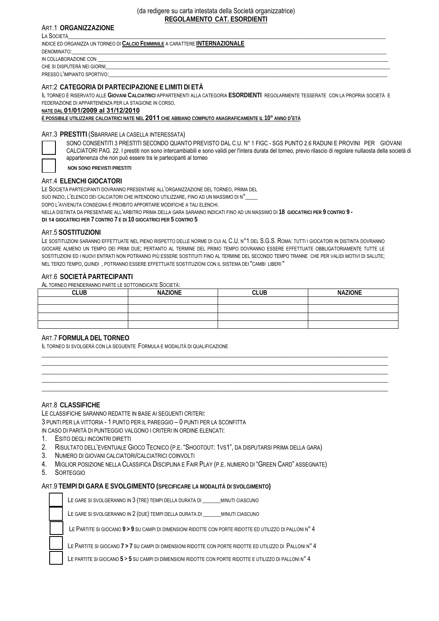## ART.1 **ORGANIZZAZIONE**

LA SOCIETÀ\_\_\_\_\_\_\_\_\_\_\_\_\_\_\_\_\_\_\_\_\_\_\_\_\_\_\_\_\_\_\_\_\_\_\_\_\_\_\_\_\_\_\_\_\_\_\_\_\_\_\_\_\_\_\_\_\_\_\_\_\_\_\_\_\_\_\_\_\_\_\_\_\_\_\_\_\_\_\_\_\_\_\_\_\_\_\_\_\_\_\_\_\_\_\_\_\_\_\_\_\_\_\_\_\_

INDICE ED ORGANIZZA UN TORNEO DI **CALCIO FEMMINILE** A CARATTERE **INTERNAZIONALE**

DENOMINATO:\_\_\_\_\_\_\_\_\_\_\_\_\_\_\_\_\_\_\_\_\_\_\_\_\_\_\_\_\_\_\_\_\_\_\_\_\_\_\_\_\_\_\_\_\_\_\_\_\_\_\_\_\_\_\_\_\_\_\_\_\_\_\_\_\_\_\_\_\_\_\_\_\_\_\_\_\_\_\_\_\_\_\_\_\_\_\_\_\_\_\_\_\_\_\_\_\_\_\_\_\_\_\_\_ IN COLLABORAZIONE CON

CHE SI DISPUTERÀ NEI GIORNI

PRESSO L'IMPIANTO SPORTIVO:

## ART:2 **CATEGORIA DI PARTECIPAZIONE E LIMITI DI ETÀ**

IL TORNEO È RISERVATO ALLE **GIOVANI CALCIATRICI** APPARTENENTI ALLA CATEGORIA **ESORDIENTI** REGOLARMENTE TESSERATE CON LA PROPRIA SOCIETÀ E FEDERAZIONE DI APPARTENENZA PER LA STAGIONE IN CORSO.

**NATE DAL 01/01/2009 al 31/12/2010**

**È POSSIBILE UTILIZZARE CALCIATRICI NATE NEL 2011 CHE ABBIANO COMPIUTO ANAGRAFICAMENTE IL 10° ANNO D'ETÀ**

### ART.3 **PRESTITI** (SBARRARE LA CASELLA INTERESSATA)

SONO CONSENTITI 3 PRESTITI SECONDO QUANTO PREVISTO DAL C.U. N° 1 FIGC - SGS PUNTO 2.6 RADUNI E PROVINI PER GIOVANI CALCIATORI PAG. 22. I prestiti non sono intercambiabili e sono validi per l'intera durata del torneo, previo rilascio di regolare nullaosta della società di appartenenza che non può essere tra le partecipanti al torneo

**NON SONO PREVISTI PRESTITI**

## ART.4 **ELENCHI GIOCATORI**

LE SOCIETÀ PARTECIPANTI DOVRANNO PRESENTARE ALL'ORGANIZZAZIONE DEL TORNEO, PRIMA DEL

SUO INIZIO, L'ELENCO DEI CALCIATORI CHE INTENDONO UTILIZZARE, FINO AD UN MASSIMO DI N°\_\_\_\_

DOPO L'AVVENUTA CONSEGNA È PROIBITO APPORTARE MODIFICHE A TALI ELENCHI.

NELLA DISTINTA DA PRESENTARE ALL'ARBITRO PRIMA DELLA GARA SARANNO INDICATI FINO AD UN MASSIMO DI **18 GIOCATRICI PER 9 CONTRO 9 -**

**DI 14 GIOCATRICI PER 7 CONTRO 7 E DI 10 GIOCATRICI PER 5 CONTRO 5** 

#### ART.5 **SOSTITUZIONI**

LE SOSTITUZIONI SARANNO EFFETTUATE NEL PIENO RISPETTO DELLE NORME DI CUI AL C.U. N°1 DEL S.G.S. ROMA: TUTTI I GIOCATORI IN DISTINTA DOVRANNO GIOCARE ALMENO UN TEMPO DEI PRIMI DUE; PERTANTO AL TERMINE DEL PRIMO TEMPO DOVRANNO ESSERE EFFETTUATE OBBLIGATORIAMENTE TUTTE LE SOSTITUZIONI ED I NUOVI ENTRATI NON POTRANNO PIÙ ESSERE SOSTITUITI FINO AL TERMINE DEL SECONDO TEMPO TRANNE CHE PER VALIDI MOTIVI DI SALUTE; NEL TERZO TEMPO, QUINDI , POTRANNO ESSERE EFFETTUATE SOSTITUZIONI CON IL SISTEMA DEI "CAMBI LIBERI "

#### ART.6 **SOCIETÀ PARTECIPANTI**

AL TORNEO PRENDERANNO PARTE LE SOTTOINDICATE SOCIETÀ:

| <b>CLUB</b> | <b>NAZIONE</b> | <b>CLUB</b> | <b>NAZIONE</b> |
|-------------|----------------|-------------|----------------|
|             |                |             |                |
|             |                |             |                |
|             |                |             |                |
|             |                |             |                |

\_\_\_\_\_\_\_\_\_\_\_\_\_\_\_\_\_\_\_\_\_\_\_\_\_\_\_\_\_\_\_\_\_\_\_\_\_\_\_\_\_\_\_\_\_\_\_\_\_\_\_\_\_\_\_\_\_\_\_\_\_\_\_\_\_\_\_\_\_\_\_\_\_\_\_\_\_\_\_\_\_\_\_\_\_\_\_\_\_\_\_\_\_\_\_\_\_\_\_\_\_\_\_  $\_$  , and the set of the set of the set of the set of the set of the set of the set of the set of the set of the set of the set of the set of the set of the set of the set of the set of the set of the set of the set of th  $\_$  , and the set of the set of the set of the set of the set of the set of the set of the set of the set of the set of the set of the set of the set of the set of the set of the set of the set of the set of the set of th  $\_$  , and the set of the set of the set of the set of the set of the set of the set of the set of the set of the set of the set of the set of the set of the set of the set of the set of the set of the set of the set of th \_\_\_\_\_\_\_\_\_\_\_\_\_\_\_\_\_\_\_\_\_\_\_\_\_\_\_\_\_\_\_\_\_\_\_\_\_\_\_\_\_\_\_\_\_\_\_\_\_\_\_\_\_\_\_\_\_\_\_\_\_\_\_\_\_\_\_\_\_\_\_\_\_\_\_\_\_\_\_\_\_\_\_\_\_\_\_\_\_\_\_\_\_\_\_\_\_\_\_\_\_\_\_

## ART.7 **FORMULA DEL TORNEO**

IL TORNEO SI SVOLGERÀ CON LA SEGUENTE FORMULA E MODALITÀ DI QUALIFICAZIONE

#### ART.8 **CLASSIFICHE**

LE CLASSIFICHE SARANNO REDATTE IN BASE AI SEGUENTI CRITERI: 3 PUNTI PER LA VITTORIA - 1 PUNTO PER IL PAREGGIO – 0 PUNTI PER LA SCONFITTA IN CASO DI PARITÀ DI PUNTEGGIO VALGONO I CRITERI IN ORDINE ELENCATI:

- 1. ESITO DEGLI INCONTRI DIRETTI
- 2. RISULTATO DELL'EVENTUALE GIOCO TECNICO (P.E. "SHOOTOUT: 1VS1", DA DISPUTARSI PRIMA DELLA GARA)
- 3. NUMERO DI GIOVANI CALCIATORI/CALCIATRICI COINVOLTI
- 4. MIGLIOR POSIZIONE NELLA CLASSIFICA DISCIPLINA E FAIR PLAY (P.E. NUMERO DI "GREEN CARD" ASSEGNATE)
- 5. SORTEGGIO

#### ART.9 **TEMPI DI GARA E SVOLGIMENTO (SPECIFICARE LA MODALITÀ DI SVOLGIMENTO)**

LE GARE SI SVOLGERANNO IN 3 (TRE) TEMPI DELLA DURATA DI \_\_\_\_\_\_MINUTI CIASCUNO

LE GARE SI SVOLGERANNO IN 2 (DUE) TEMPI DELLA DURATA DI MINUTI CIASCUNO

LE PARTITE SI GIOCANO **9 > 9** SU CAMPI DI DIMENSIONI RIDOTTE CON PORTE RIDOTTE ED UTILIZZO DI PALLONI N° 4

LE PARTITE SI GIOCANO **7 > 7** SU CAMPI DI DIMENSIONI RIDOTTE CON PORTE RIDOTTE ED UTILIZZO DI PALLONI N° 4

LE PARTITE SI GIOCANO **5** > **5** SU CAMPI DI DIMENSIONI RIDOTTE CON PORTE RIDOTTE E UTILIZZO DI PALLONI N° 4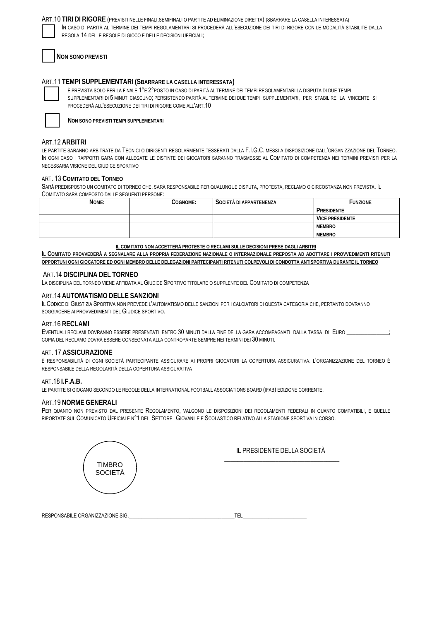#### ART. 10 TIRI DI RIGORE (PREVISTI NELLE FINALI, SEMIFINALI O PARTITE AD ELIMINAZIONE DIRETTA) (SBARRARE LA CASELLA INTERESSATA)

IN CASO DI PARITÀ AL TERMINE DEI TEMPI REGOLAMENTARI SI PROCEDERÀ ALL'ESECUZIONE DEI TIRI DI RIGORE CON LE MODALITÀ STABILITE DALLA REGOLA 14 DELLE REGOLE DI GIOCO E DELLE DECISIONI UFFICIALI:

**NON SONO PREVISTI** 

## ART.11 TEMPI SUPPLEMENTARI (SBARRARE LA CASELLA INTERESSATA)

È PREVISTA SOLO PER LA FINALE 1°E 2° POSTO IN CASO DI PARITÀ AL TERMINE DEI TEMPI REGOLAMENTARI LA DISPUTA DI DUE TEMPI SUPPLEMENTARI DI 5 MINUTI CIASCUNO; PERSISTENDO PARITÀ AL TERMINE DEI DUE TEMPI SUPPLEMENTARI, PER STABILIRE LA VINCENTE SI PROCEDERÀ ALL'ESECUZIONE DEI TIRI DI RIGORE COME ALL'ART.10



NON SONO PREVISTI TEMPI SUPPLEMENTARI

## ART.12 ARBITRI

LE PARTITE SARANNO ARBITRATE DA TECNICI O DIRIGENTI REGOLARMENTE TESSERATI DALLA F.I.G.C. MESSI A DISPOSIZIONE DALL'ORGANIZZAZIONE DEL TORNEO. IN OGNI CASO I RAPPORTI GARA CON ALLEGATE LE DISTINTE DEI GIOCATORI SARANNO TRASMESSE AL COMITATO DI COMPETENZA NEI TERMINI PREVISTI PER LA NECESSARIA VISIONE DEL GIUDICE SPORTIVO

#### ART. 13 COMITATO DEL TORNEO

SARÀ PREDISPOSTO UN COMITATO DI TORNEO CHE, SARÀ RESPONSABILE PER QUALUNQUE DISPUTA, PROTESTA, RECLAMO O CIRCOSTANZA NON PREVISTA. IL COMITATO SARÀ COMPOSTO DALLE SEGUENTI PERSONE:

| NOME: | COGNOME: | SOCIETÀ DI APPARTENENZA | <b>FUNZIONE</b>        |
|-------|----------|-------------------------|------------------------|
|       |          |                         | PRESIDENTE             |
|       |          |                         | <b>VICE PRESIDENTE</b> |
|       |          |                         | <b>MEMBRO</b>          |
|       |          |                         | <b>MEMBRO</b>          |

IL COMITATO NON ACCETTERÀ PROTESTE O RECLAMI SULLE DECISIONI PRESE DAGLI ARBITRI

IL COMITATO PROVVEDERÀ A SEGNALARE ALLA PROPRIA FEDERAZIONE NAZIONALE O INTERNAZIONALE PREPOSTA AD ADOTTARE I PROVVEDIMENTI RITENUTI OPPORTUNI OGNI GIOCATORE ED OGNI MEMBRO DELLE DELEGAZIONI PARTECIPANTI RITENUTI COLPEVOLI DI CONDOTTA ANTISPORTIVA DURANTE IL TORNEO

#### ART.14 DISCIPLINA DEL TORNEO

LA DISCIPLINA DEL TORNEO VIENE AFFIDATA AL GIUDICE SPORTIVO TITOLARE O SUPPLENTE DEL COMITATO DI COMPETENZA

#### ART.14 AUTOMATISMO DELLE SANZIONI

IL CODICE DI GIUSTIZIA SPORTIVA NON PREVEDE L'AUTOMATISMO DELLE SANZIONI PER I CALCIATORI DI QUESTA CATEGORIA CHE, PERTANTO DOVRANNO SOGGIACERE ALPROVVEDIMENTI DEL GIUDICE SPORTIVO.

#### ART.16 RFCLAML

EVENTUALI RECLAMI DOVRANNO ESSERE PRESENTATI ENTRO 30 MINUTI DALLA FINE DELLA GARA ACCOMPAGNATI DALLA TASSA DI EURO \_ COPIA DEL RECLAMO DOVRÀ ESSERE CONSEGNATA ALLA CONTROPARTE SEMPRE NEI TERMINI DEI 30 MINUTI.

#### ART 17 ASSICURATIONE

È RESPONSABILITÀ DI OGNI SOCIETÀ PARTECIPANTE ASSICURARE AI PROPRI GIOCATORI LA COPERTURA ASSICURATIVA. L'ORGANIZZAZIONE DEL TORNEO È RESPONSABILE DELLA REGOLARITÀ DELLA COPERTURA ASSICURATIVA

#### ART. 18 I.F. A.B.

LE PARTITE SI GIOCANO SECONDO LE REGOLE DELLA INTERNATIONAL FOOTBALL ASSOCIATIONS BOARD (IFAB) EDIZIONE CORRENTE.

#### ART.19 NORME GENERALI

PER QUANTO NON PREVISTO DAL PRESENTE REGOLAMENTO, VALGONO LE DISPOSIZIONI DEI REGOLAMENTI FEDERALI IN QUANTO COMPATIBILI, E QUELLE RIPORTATE SUL COMUNICATO UFFICIALE N°1 DEL SETTORE GIOVANILE E SCOLASTICO RELATIVO ALLA STAGIONE SPORTIVA IN CORSO.



| <b>NIE OIC</b><br><b>RESPONSABILE</b><br>AAII<br>≀תר<br>טוכ<br>$\sqrt{2}$ |  |  |
|---------------------------------------------------------------------------|--|--|
|---------------------------------------------------------------------------|--|--|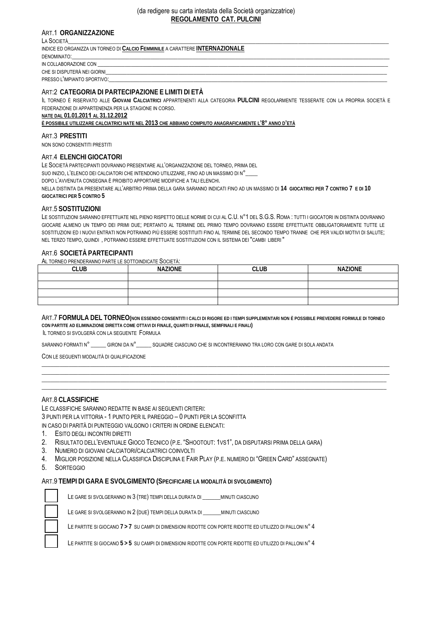## ART.1 **ORGANIZZAZIONE**

| LA SOCIETÀ                                                                   |  |  |
|------------------------------------------------------------------------------|--|--|
| INDICE ED ORGANIZZA UN TORNEO DI CALCIO FEMMINILE A CARATTERE INTERNAZIONALE |  |  |
| DENOMINATO:                                                                  |  |  |
| IN COLLABORAZIONE CON                                                        |  |  |
| CHE SI DISPUTERÀ NEI GIORNI                                                  |  |  |
| PRESSO L'IMPIANTO SPORTIVO:                                                  |  |  |

#### ART:2 **CATEGORIA DI PARTECIPAZIONE E LIMITI DI ETÀ**

IL TORNEO È RISERVATO ALLE **GIOVANI CALCIATRICI** APPARTENENTI ALLA CATEGORIA **PULCINI** REGOLARMENTE TESSERATE CON LA PROPRIA SOCIETÀ E FEDERAZIONE DI APPARTENENZA PER LA STAGIONE IN CORSO.

#### **NATE DAL 01.01.2011 AL 31.12.2012**

**È POSSIBILE UTILIZZARE CALCIATRICI NATE NEL 2013 CHE ABBIANO COMPIUTO ANAGRAFICAMENTE L'8° ANNO D'ETÀ**

#### ART.3 **PRESTITI**

NON SONO CONSENTITI PRESTITI

#### ART.4 **ELENCHI GIOCATORI**

LE SOCIETÀ PARTECIPANTI DOVRANNO PRESENTARE ALL'ORGANIZZAZIONE DEL TORNEO, PRIMA DEL

SUO INIZIO, L'ELENCO DEI CALCIATORI CHE INTENDONO UTILIZZARE, FINO AD UN MASSIMO DI N°\_\_\_\_

DOPO L'AVVENUTA CONSEGNA È PROIBITO APPORTARE MODIFICHE A TALI ELENCHI.

NELLA DISTINTA DA PRESENTARE ALL'ARBITRO PRIMA DELLA GARA SARANNO INDICATI FINO AD UN MASSIMO DI **14 GIOCATRICI PER 7 CONTRO 7 E DI 10 GIOCATRICI PER 5 CONTRO 5** 

#### ART.5 **SOSTITUZIONI**

LE SOSTITUZIONI SARANNO EFFETTUATE NEL PIENO RISPETTO DELLE NORME DI CUI AL C.U. N°1 DEL S.G.S. ROMA: TUTTI I GIOCATORI IN DISTINTA DOVRANNO GIOCARE ALMENO UN TEMPO DEI PRIMI DUE; PERTANTO AL TERMINE DEL PRIMO TEMPO DOVRANNO ESSERE EFFETTUATE OBBLIGATORIAMENTE TUTTE LE SOSTITUZIONI ED I NUOVI ENTRATI NON POTRANNO PIÙ ESSERE SOSTITUITI FINO AL TERMINE DEL SECONDO TEMPO TRANNE CHE PER VALIDI MOTIVI DI SALUTE; NEL TERZO TEMPO, QUINDI , POTRANNO ESSERE EFFETTUATE SOSTITUZIONI CON IL SISTEMA DEI "CAMBI LIBERI "

#### ART.6 **SOCIETÀ PARTECIPANTI**

AL TORNEO PRENDERANNO PARTE LE SOTTOINDICATE SOCIETÀ:

| <b>CLUB</b> | <b>NAZIONE</b> | <b>CLUB</b> | <b>NAZIONE</b> |
|-------------|----------------|-------------|----------------|
|             |                |             |                |
|             |                |             |                |
|             |                |             |                |
|             |                |             |                |

#### ART.7 **FORMULA DEL TORNEO(NON ESSENDO CONSENTITI I CALCI DI RIGORE ED I TEMPI SUPPLEMENTARI NON È POSSIBILE PREVEDERE FORMULE DI TORNEO CON PARTITE AD ELIMINAZIONE DIRETTA COME OTTAVI DI FINALE, QUARTI DI FINALE, SEMIFINALI E FINALI)**

 $\_$  ,  $\_$  ,  $\_$  ,  $\_$  ,  $\_$  ,  $\_$  ,  $\_$  ,  $\_$  ,  $\_$  ,  $\_$  ,  $\_$  ,  $\_$  ,  $\_$  ,  $\_$  ,  $\_$  ,  $\_$  ,  $\_$  ,  $\_$  ,  $\_$  ,  $\_$  ,  $\_$  ,  $\_$  ,  $\_$  ,  $\_$  ,  $\_$  ,  $\_$  ,  $\_$  ,  $\_$  ,  $\_$  ,  $\_$  ,  $\_$  ,  $\_$  ,  $\_$  ,  $\_$  ,  $\_$  ,  $\_$  ,  $\_$  ,  $\_$  ,  $\_$  ,  $\_$  ,  $\_$  ,  $\_$  ,  $\_$  ,  $\_$  ,  $\_$  ,  $\_$  ,  $\_$  ,  $\_$  ,  $\_$  ,  $\_$  ,  $\_$  ,  $\_$  ,  $\_$  ,  $\_$  ,  $\_$  ,  $\_$  ,  $\_$  ,  $\_$  ,  $\_$  ,  $\_$  ,  $\_$  ,  $\_$  ,  $\_$  ,  $\_$  ,  $\_$  ,  $\_$  ,  $\_$  ,  $\_$  ,  $\_$  ,  $\_$  ,  $\_$  ,  $\_$  ,  $\_$  ,  $\_$  , \_\_\_\_\_\_\_\_\_\_\_\_\_\_\_\_\_\_\_\_\_\_\_\_\_\_\_\_\_\_\_\_\_\_\_\_\_\_\_\_\_\_\_\_\_\_\_\_\_\_\_\_\_\_\_\_\_\_\_\_\_\_\_\_\_\_\_\_\_\_\_\_\_\_\_\_\_\_\_\_\_\_\_\_\_\_\_\_\_\_\_\_\_\_\_\_\_\_\_\_\_\_\_\_\_\_\_\_\_\_\_\_\_\_ \_\_\_\_\_\_\_\_\_\_\_\_\_\_\_\_\_\_\_\_\_\_\_\_\_\_\_\_\_\_\_\_\_\_\_\_\_\_\_\_\_\_\_\_\_\_\_\_\_\_\_\_\_\_\_\_\_\_\_\_\_\_\_\_\_\_\_\_\_\_\_\_\_\_\_\_\_\_\_\_\_\_\_\_\_\_\_\_\_\_\_\_\_\_\_\_\_\_\_\_\_\_\_\_\_\_\_\_\_\_\_\_\_\_

IL TORNEO SI SVOLGERÀ CON LA SEGUENTE FORMULA

SARANNO FORMATI N° \_\_\_\_\_ GIRONI DA N°\_\_\_\_\_\_ SQUADRE CIASCUNO CHE SI INCONTRERANNO TRA LORO CON GARE DI SOLA ANDATA

CON LE SEGUENTI MODALITÀ DI QUALIFICAZIONE

#### ART.8 **CLASSIFICHE**

LE CLASSIFICHE SARANNO REDATTE IN BASE AI SEGUENTI CRITERI: 3 PUNTI PER LA VITTORIA - 1 PUNTO PER IL PAREGGIO – 0 PUNTI PER LA SCONFITTA IN CASO DI PARITÀ DI PUNTEGGIO VALGONO I CRITERI IN ORDINE ELENCATI:

- 1. ESITO DEGLI INCONTRI DIRETTI
- 2. RISULTATO DELL'EVENTUALE GIOCO TECNICO (P.E. "SHOOTOUT: 1VS1", DA DISPUTARSI PRIMA DELLA GARA)
- 3. NUMERO DI GIOVANI CALCIATORI/CALCIATRICI COINVOLTI
- 4. MIGLIOR POSIZIONE NELLA CLASSIFICA DISCIPLINA E FAIR PLAY (P.E. NUMERO DI "GREEN CARD" ASSEGNATE)
- 5. SORTEGGIO

## ART.9 **TEMPI DI GARA E SVOLGIMENTO (SPECIFICARE LA MODALITÀ DI SVOLGIMENTO)**



LE GARE SI SVOLGERANNO IN 3 (TRE) TEMPI DELLA DURATA DI \_\_\_\_\_\_MINUTI CIASCUNO

LE GARE SI SVOLGERANNO IN 2 (DUE) TEMPI DELLA DURATA DI \_\_\_\_\_\_ MINUTI CIASCUNO

LE PARTITE SI GIOCANO **7 > 7** SU CAMPI DI DIMENSIONI RIDOTTE CON PORTE RIDOTTE ED UTILIZZO DI PALLONI N° 4

LE PARTITE SI GIOCANO **5 > 5** SU CAMPI DI DIMENSIONI RIDOTTE CON PORTE RIDOTTE ED UTILIZZO DI PALLONI N° 4